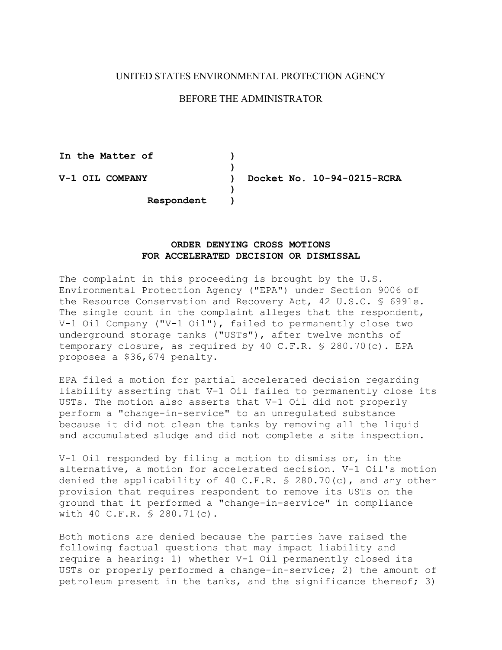## UNITED STATES ENVIRONMENTAL PROTECTION AGENCY

## BEFORE THE ADMINISTRATOR

**In the Matter of ) ) V-1 OIL COMPANY ) Docket No. 10-94-0215-RCRA ) Respondent )** 

## **ORDER DENYING CROSS MOTIONS FOR ACCELERATED DECISION OR DISMISSAL**

The complaint in this proceeding is brought by the U.S. Environmental Protection Agency ("EPA") under Section 9006 of the Resource Conservation and Recovery Act, 42 U.S.C. § 6991e. The single count in the complaint alleges that the respondent, V-1 Oil Company ("V-1 Oil"), failed to permanently close two underground storage tanks ("USTs"), after twelve months of temporary closure, as required by 40 C.F.R. § 280.70(c). EPA proposes a \$36,674 penalty.

EPA filed a motion for partial accelerated decision regarding liability asserting that V-1 Oil failed to permanently close its USTs. The motion also asserts that V-1 Oil did not properly perform a "change-in-service" to an unregulated substance because it did not clean the tanks by removing all the liquid and accumulated sludge and did not complete a site inspection.

V-1 Oil responded by filing a motion to dismiss or, in the alternative, a motion for accelerated decision. V-1 Oil's motion denied the applicability of 40 C.F.R. § 280.70(c), and any other provision that requires respondent to remove its USTs on the ground that it performed a "change-in-service" in compliance with 40 C.F.R. § 280.71(c).

Both motions are denied because the parties have raised the following factual questions that may impact liability and require a hearing: 1) whether V-1 Oil permanently closed its USTs or properly performed a change-in-service; 2) the amount of petroleum present in the tanks, and the significance thereof; 3)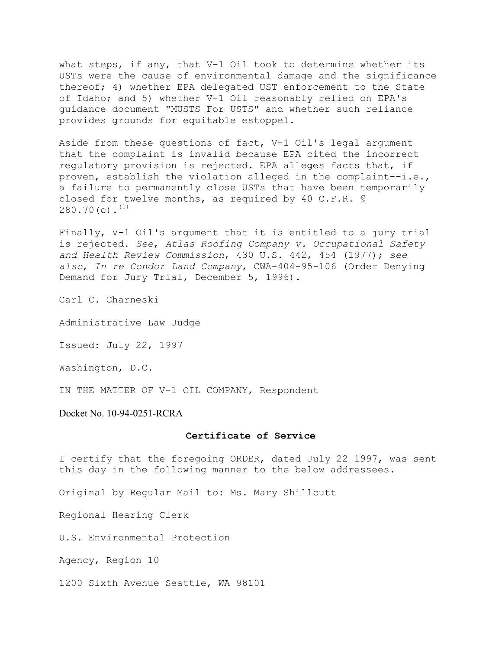what steps, if any, that V-1 Oil took to determine whether its USTs were the cause of environmental damage and the significance thereof; 4) whether EPA delegated UST enforcement to the State of Idaho; and 5) whether V-1 Oil reasonably relied on EPA's guidance document "MUSTS For USTS" and whether such reliance provides grounds for equitable estoppel.

Aside from these questions of fact, V-1 Oil's legal argument that the complaint is invalid because EPA cited the incorrect regulatory provision is rejected. EPA alleges facts that, if proven, establish the violation alleged in the complaint--i.e., a failure to permanently close USTs that have been temporarily closed for twelve months, as required by 40 C.F.R. §  $280.70(c)$ .<sup>(1)</sup>

Finally, V-1 Oil's argument that it is entitled to a jury trial is rejected. *See*, *Atlas Roofing Company v. Occupational Safety and Health Review Commission*, 430 U.S. 442, 454 (1977); *see also*, *In re Condor Land Company*, CWA-404-95-106 (Order Denying Demand for Jury Trial, December 5, 1996).

Carl C. Charneski

Administrative Law Judge

Issued: July 22, 1997

Washington, D.C.

IN THE MATTER OF V-1 OIL COMPANY, Respondent

Docket No. 10-94-0251-RCRA

## **Certificate of Service**

I certify that the foregoing ORDER, dated July 22 1997, was sent this day in the following manner to the below addressees.

Original by Regular Mail to: Ms. Mary Shillcutt

Regional Hearing Clerk

U.S. Environmental Protection

Agency, Region 10

1200 Sixth Avenue Seattle, WA 98101